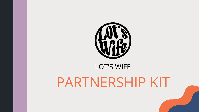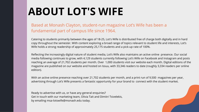# **ABOUT LOT'S WIFE**

Based at Monash Clayton, student-run magazine Lot's Wife has been a fundamental part of campus life since 1964.

Catering to students primarily between the ages of 18-25, Lot's Wife is distributed free of charge both digitally and in hard copy throughout the semester. With content exploring a broad range of topics relevant to student life and interests, Lot's Wife holds a strong readership of approximately 25,175 students and a pick-up rate of 100%.

Reflecting the increasingly digital nature of student media, Lot's Wife also maintains an active online presence. Our social media following continues to grow, with 4,129 students currently following Lot's Wife on Facebook and Instagram and posts reaching an average of 21,702 students per month. Over 1,000 students visit our website each month. Digital editions of the magazine are published on our website and hosted on Issuu, with 33,346 readers to date (roughly 3,334 readers per online edition).

With an active online presence reaching over 21,702 students per month, and a print run of 9,500 magazines per year, advertising through Lot's Wife presents a fantastic opportunity for your brand to connect with the student market.

Ready to advertise with us, or have any general enquiries? Get in touch with our marketing team, Olivia Tait and Dimitri Tsivelekis, by emailing msa-lotswife@monash.edu today.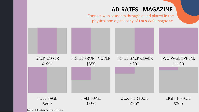# **AD RATES - MAGAZINE**



## TWO PAGE SPREAD \$1100

EIGHTH PAGE \$200

FULL PAGE \$600

\$450

\$300

Note: All rates GST exclusive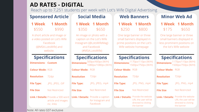# **AD RATES - DIGITAL**

# **Sponsored Article Social Media Web Banners Minor Web Ad**

**1 Week** \$550 **1 Month** \$990

A short article and image or a video posted on Lot's Wife Facebook (@MSA.LotsWife) and website.

|       | 1 Week 1 Month |
|-------|----------------|
| \$350 | \$650          |

An image or photo with a caption on the Lot's Wife Instagram (@LotsWifeMag) and Facebook (#MSA.LotsWife)

### **1 Week 1 Month** \$250 \$800

One large banner or three small banners displayed in prime positions on the Lot's Wife website homepage

> **rpe:** .JPG, .PNG, .mp4

# **1 Week 1 Month** \$175 \$650

**Link / Details:** Provide the website URL the user will be directed to clicking the banner

One large banner or three small banners displayed in less prominent positions on the lot's Wife website

## **Specifications**

**Link / Details:** Provide the website URL the user will be directed to clicking the banner

| <b>Dimensions: Custom</b> |                                                                               |  |
|---------------------------|-------------------------------------------------------------------------------|--|
| <b>Colour Mode: RGB</b>   |                                                                               |  |
| <b>Resolution</b> 72dpi   |                                                                               |  |
| <b>File Type:</b>         | .JPG, .JPEG, .GIF                                                             |  |
| <b>File Size</b>          | Not Restricted                                                                |  |
|                           | <b>Link / Details:</b> Provide a 500 word<br>article and images<br>inc. links |  |

### **Specifications**

**Colour Mode:** RGB

**Resolution** 72dpi

1170px/110px (W/H) 1500px/750px (W/H)

Not Restricted

# **Specifications**

**Dimensions:** 1170px/110px (W/H) 1500px/750px (W/H)

**Colour Mode:** RGB

**Resolution** 72dpi

**File Type:** .JPG, .PNG, .mp4

|                         | $\sim$ $\sim$ $\sim$ $\sim$ $\sim$ $\sim$ $\sim$ $\sim$<br><b>Dimensions:</b> $\frac{500 \text{px}}{4080 \text{px}}$ (W/H) | $\sim$ $\sim$ $\sim$<br><b>Dimensions:</b> |
|-------------------------|----------------------------------------------------------------------------------------------------------------------------|--------------------------------------------|
| <b>Colour Mode: RGB</b> |                                                                                                                            | <b>Colour Mode</b>                         |
| <b>Resolution</b>       | 72dpi                                                                                                                      | <b>Resolution</b>                          |
| <b>File Type:</b>       | .JPG, .JPEG, .mp4                                                                                                          | <b>File Type:</b>                          |
| <b>File Size</b>        | <b>Not Restricted</b>                                                                                                      | <b>File Size</b>                           |
|                         | <b>Link / Details: Provide a caption</b><br>for Instagram and                                                              | <b>Link / Details</b>                      |

**File Size** Not Restricted

# **Specifications**

Facebook

Note: All rates GST exclusive

Reach up to 7,251 students per week with Lot's Wife Digital Advertising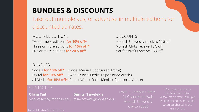# **BUNDLES & DISCOUNTS**

Take out multiple ads, or advertise in multiple editions for discounted ad rates.

MULTIPLE EDITIONS Two or more editions **for 10% off\*** Three or more editions **for 15% off\*** Five or more editions **for 20% off\***

**DISCOUNTS** Monash University receives 15% off Monash Clubs receive 15% off Not-for-profits receive 15% off

### BUNDLES

Socials **for 10% off\*** (Social Media + Sponsored Article) Digital **for 10% off\*** (Web + Social Media + Sponsored Article) All Media **for 15% off\*** (Print + Web + Social Media + Sponsored Article)

**Olivia Tait** msa-lotswife@monash.edu msa-lotswife@monash.edu **Dimitri Tsivelekis**

Level 1, Campus Centre 21 Chancellors Walk Monash University Clayton 3800

\*Discounts cannot be combined with other discounts or offers. Multiple edition discounts only apply when purchased in one transaction.

### CONTACT US

Note: All rates GST exclusive